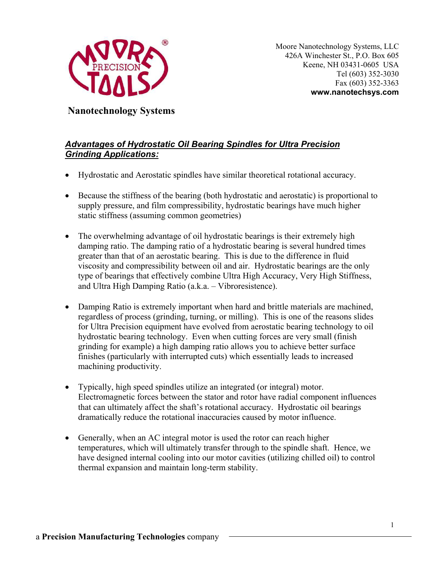

Moore Nanotechnology Systems, LLC 426A Winchester St., P.O. Box 605 Keene, NH 03431-0605 USA Tel (603) 352-3030 Fax (603) 352-3363 **www.nanotechsys.com** 

**Nanotechnology Systems** 

## *Advantages of Hydrostatic Oil Bearing Spindles for Ultra Precision Grinding Applications:*

- Hydrostatic and Aerostatic spindles have similar theoretical rotational accuracy.
- Because the stiffness of the bearing (both hydrostatic and aerostatic) is proportional to supply pressure, and film compressibility, hydrostatic bearings have much higher static stiffness (assuming common geometries)
- The overwhelming advantage of oil hydrostatic bearings is their extremely high damping ratio. The damping ratio of a hydrostatic bearing is several hundred times greater than that of an aerostatic bearing. This is due to the difference in fluid viscosity and compressibility between oil and air. Hydrostatic bearings are the only type of bearings that effectively combine Ultra High Accuracy, Very High Stiffness, and Ultra High Damping Ratio (a.k.a. – Vibroresistence).
- Damping Ratio is extremely important when hard and brittle materials are machined, regardless of process (grinding, turning, or milling). This is one of the reasons slides for Ultra Precision equipment have evolved from aerostatic bearing technology to oil hydrostatic bearing technology. Even when cutting forces are very small (finish grinding for example) a high damping ratio allows you to achieve better surface finishes (particularly with interrupted cuts) which essentially leads to increased machining productivity.
- Typically, high speed spindles utilize an integrated (or integral) motor. Electromagnetic forces between the stator and rotor have radial component influences that can ultimately affect the shaft's rotational accuracy. Hydrostatic oil bearings dramatically reduce the rotational inaccuracies caused by motor influence.
- Generally, when an AC integral motor is used the rotor can reach higher temperatures, which will ultimately transfer through to the spindle shaft. Hence, we have designed internal cooling into our motor cavities (utilizing chilled oil) to control thermal expansion and maintain long-term stability.